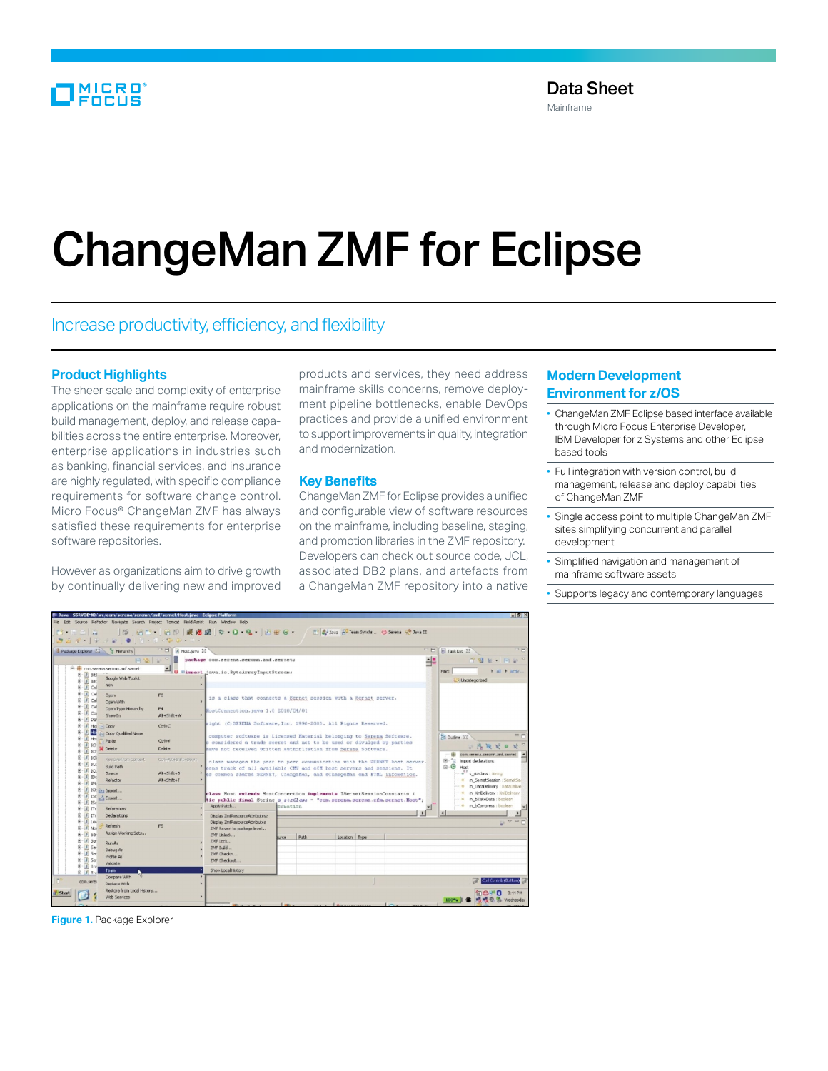# ChangeMan ZMF for Eclipse

## Increase productivity, efficiency, and flexibility

#### **Product Highlights**

The sheer scale and complexity of enterprise applications on the mainframe require robust build management, deploy, and release capabilities across the entire enterprise. Moreover, enterprise applications in industries such as banking, financial services, and insurance are highly regulated, with specific compliance requirements for software change control. Micro Focus® ChangeMan ZMF has always satisfied these requirements for enterprise software repositories.

However as organizations aim to drive growth by continually delivering new and improved products and services, they need address mainframe skills concerns, remove deployment pipeline bottlenecks, enable DevOps practices and provide a unified environment to support improvements in quality, integration and modernization.

#### **Key Benefits**

ChangeMan ZMF for Eclipse provides a unified and configurable view of software resources on the mainframe, including baseline, staging, and promotion libraries in the ZMF repository. Developers can check out source code, JCL, associated DB2 plans, and artefacts from a ChangeMan ZMF repository into a native

### **Modern Development Environment for z/OS**

- ChangeMan ZMF Eclipse based interface available through Micro Focus Enterprise Developer, IBM Developer for z Systems and other Eclipse based tools
- Full integration with version control, build management, release and deploy capabilities of ChangeMan ZMF
- Single access point to multiple ChangeMan ZMF sites simplifying concurrent and parallel development
- Simplified navigation and management of mainframe software assets
- Supports legacy and contemporary languages



**Figure 1.** Package Explorer